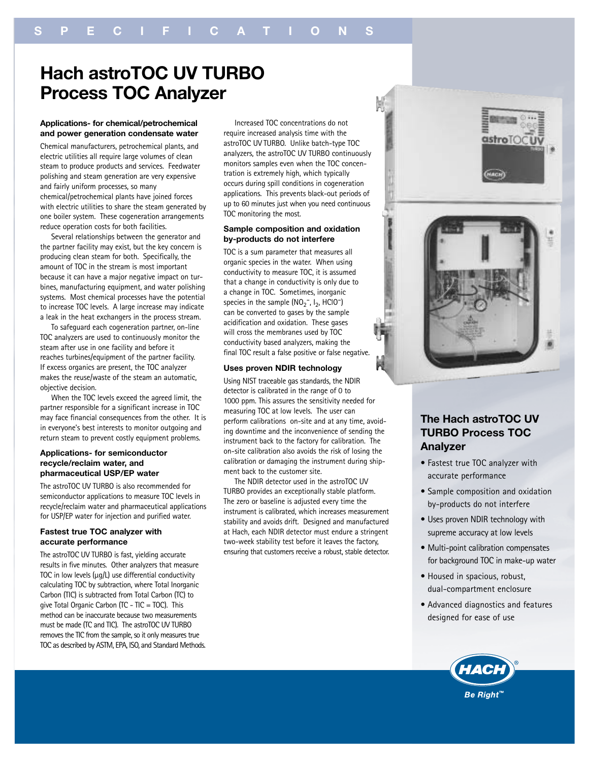# **Hach astroTOC UV TURBO Process TOC Analyzer**

## **Applications- for chemical/petrochemical and power generation condensate water**

Chemical manufacturers, petrochemical plants, and electric utilities all require large volumes of clean steam to produce products and services. Feedwater polishing and steam generation are very expensive and fairly uniform processes, so many chemical/petrochemical plants have joined forces with electric utilities to share the steam generated by one boiler system. These cogeneration arrangements reduce operation costs for both facilities.

Several relationships between the generator and the partner facility may exist, but the key concern is producing clean steam for both. Specifically, the amount of TOC in the stream is most important because it can have a major negative impact on turbines, manufacturing equipment, and water polishing systems. Most chemical processes have the potential to increase TOC levels. A large increase may indicate a leak in the heat exchangers in the process stream.

To safeguard each cogeneration partner, on-line TOC analyzers are used to continuously monitor the steam after use in one facility and before it reaches turbines/equipment of the partner facility. If excess organics are present, the TOC analyzer makes the reuse/waste of the steam an automatic, objective decision.

When the TOC levels exceed the agreed limit, the partner responsible for a significant increase in TOC may face financial consequences from the other. It is in everyone's best interests to monitor outgoing and return steam to prevent costly equipment problems.

# **Applications- for semiconductor recycle/reclaim water, and pharmaceutical USP/EP water**

The astroTOC UV TURBO is also recommended for semiconductor applications to measure TOC levels in recycle/reclaim water and pharmaceutical applications for USP/EP water for injection and purified water.

# **Fastest true TOC analyzer with accurate performance**

The astroTOC UV TURBO is fast, yielding accurate results in five minutes. Other analyzers that measure TOC in low levels (µg/L) use differential conductivity calculating TOC by subtraction, where Total Inorganic Carbon (TIC) is subtracted from Total Carbon (TC) to give Total Organic Carbon (TC - TIC = TOC). This method can be inaccurate because two measurements must be made (TC and TIC). The astroTOC UV TURBO removes the TIC from the sample, so it only measures true TOC as described by ASTM, EPA, ISO, and Standard Methods.

Increased TOC concentrations do not require increased analysis time with the astroTOC UV TURBO. Unlike batch-type TOC analyzers, the astroTOC UV TURBO continuously monitors samples even when the TOC concentration is extremely high, which typically occurs during spill conditions in cogeneration applications. This prevents black-out periods of up to 60 minutes just when you need continuous TOC monitoring the most.

# **Sample composition and oxidation by-products do not interfere**

TOC is a sum parameter that measures all organic species in the water. When using conductivity to measure TOC, it is assumed that a change in conductivity is only due to a change in TOC. Sometimes, inorganic species in the sample  $(\text{NO}_2^-, \text{I}_2, \text{HClO}^-)$ can be converted to gases by the sample acidification and oxidation. These gases will cross the membranes used by TOC conductivity based analyzers, making the final TOC result a false positive or false negative.

## **Uses proven NDIR technology**

Using NIST traceable gas standards, the NDIR detector is calibrated in the range of 0 to 1000 ppm. This assures the sensitivity needed for measuring TOC at low levels. The user can perform calibrations on-site and at any time, avoiding downtime and the inconvenience of sending the instrument back to the factory for calibration. The on-site calibration also avoids the risk of losing the calibration or damaging the instrument during shipment back to the customer site.

The NDIR detector used in the astroTOC UV TURBO provides an exceptionally stable platform. The zero or baseline is adjusted every time the instrument is calibrated, which increases measurement stability and avoids drift. Designed and manufactured at Hach, each NDIR detector must endure a stringent two-week stability test before it leaves the factory, ensuring that customers receive a robust, stable detector.



astroTOC

# **The Hach astroTOC UV TURBO Process TOC Analyzer**

- Fastest true TOC analyzer with accurate performance
- Sample composition and oxidation by-products do not interfere
- Uses proven NDIR technology with supreme accuracy at low levels
- Multi-point calibration compensates for background TOC in make-up water
- Housed in spacious, robust, dual-compartment enclosure
- Advanced diagnostics and features designed for ease of use

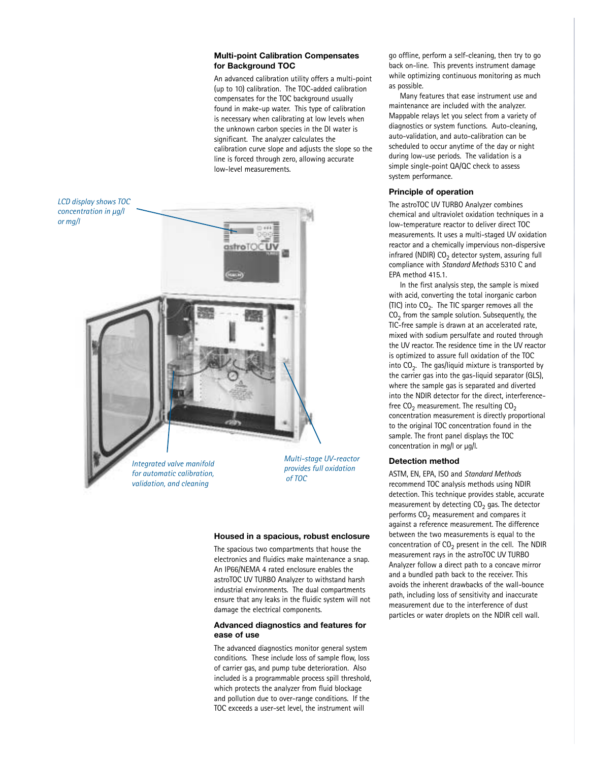## **Multi-point Calibration Compensates for Background TOC**

An advanced calibration utility offers a multi-point (up to 10) calibration. The TOC-added calibration compensates for the TOC background usually found in make-up water. This type of calibration is necessary when calibrating at low levels when the unknown carbon species in the DI water is significant. The analyzer calculates the calibration curve slope and adjusts the slope so the line is forced through zero, allowing accurate low-level measurements.



*Integrated valve manifold for automatic calibration, validation, and cleaning*

*Multi-stage UV-reactor provides full oxidation of TOC*

#### **Housed in a spacious, robust enclosure**

The spacious two compartments that house the electronics and fluidics make maintenance a snap. An IP66/NEMA 4 rated enclosure enables the astroTOC UV TURBO Analyzer to withstand harsh industrial environments. The dual compartments ensure that any leaks in the fluidic system will not damage the electrical components.

# **Advanced diagnostics and features for ease of use**

The advanced diagnostics monitor general system conditions. These include loss of sample flow, loss of carrier gas, and pump tube deterioration. Also included is a programmable process spill threshold, which protects the analyzer from fluid blockage and pollution due to over-range conditions. If the TOC exceeds a user-set level, the instrument will

go offline, perform a self-cleaning, then try to go back on-line. This prevents instrument damage while optimizing continuous monitoring as much as possible.

Many features that ease instrument use and maintenance are included with the analyzer. Mappable relays let you select from a variety of diagnostics or system functions. Auto-cleaning, auto-validation, and auto-calibration can be scheduled to occur anytime of the day or night during low-use periods. The validation is a simple single-point QA/QC check to assess system performance.

# **Principle of operation**

The astroTOC UV TURBO Analyzer combines chemical and ultraviolet oxidation techniques in a low-temperature reactor to deliver direct TOC measurements. It uses a multi-staged UV oxidation reactor and a chemically impervious non-dispersive infrared (NDIR)  $CO<sub>2</sub>$  detector system, assuring full compliance with *Standard Methods* 5310 C and EPA method 415.1.

In the first analysis step, the sample is mixed with acid, converting the total inorganic carbon (TIC) into  $CO<sub>2</sub>$ . The TIC sparger removes all the  $CO<sub>2</sub>$  from the sample solution. Subsequently, the TIC-free sample is drawn at an accelerated rate, mixed with sodium persulfate and routed through the UV reactor. The residence time in the UV reactor is optimized to assure full oxidation of the TOC into  $CO<sub>2</sub>$ . The gas/liquid mixture is transported by the carrier gas into the gas-liquid separator (GLS), where the sample gas is separated and diverted into the NDIR detector for the direct, interferencefree  $CO<sub>2</sub>$  measurement. The resulting  $CO<sub>2</sub>$ concentration measurement is directly proportional to the original TOC concentration found in the sample. The front panel displays the TOC concentration in mg/l or  $\mu$ g/l.

# **Detection method**

ASTM, EN, EPA, ISO and *Standard Methods* recommend TOC analysis methods using NDIR detection. This technique provides stable, accurate measurement by detecting  $CO<sub>2</sub>$  gas. The detector performs  $CO<sub>2</sub>$  measurement and compares it against a reference measurement. The difference between the two measurements is equal to the concentration of  $CO<sub>2</sub>$  present in the cell. The NDIR measurement rays in the astroTOC UV TURBO Analyzer follow a direct path to a concave mirror and a bundled path back to the receiver. This avoids the inherent drawbacks of the wall-bounce path, including loss of sensitivity and inaccurate measurement due to the interference of dust particles or water droplets on the NDIR cell wall.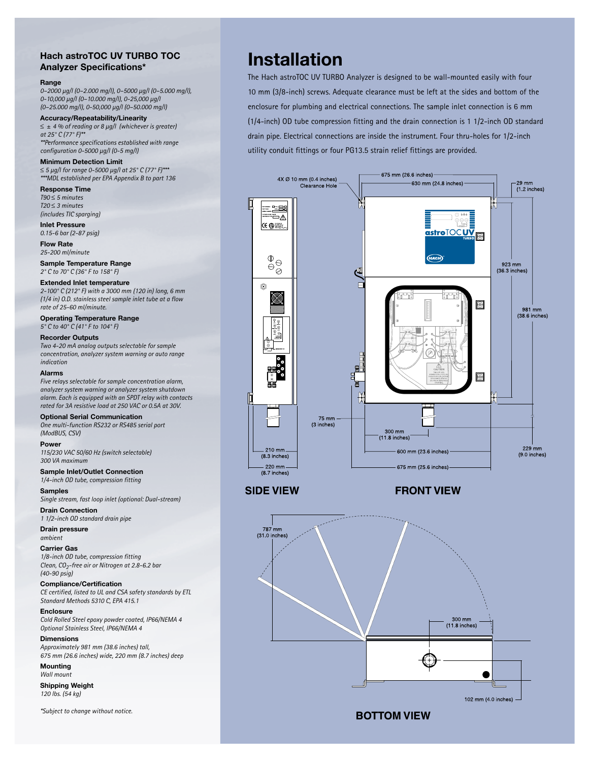# **Hach astroTOC UV TURBO TOC Analyzer Specifications\***

#### **Range**

*0–2000 µg/l (0–2.000 mg/l), 0–5000 µg/l (0–5.000 mg/l), 0-10,000 µg/l (0–10.000 mg/l), 0-25,000 µg/l (0–25.000 mg/l), 0-50,000 µg/l (0–50.000 mg/l)*

**Accuracy/Repeatability/Linearity** ≤ ± *4 % of reading or 8 µg/l (whichever is greater) at 25° C (77° F)\*\* \*\*Performance specifications established with range* 

*configuration 0-5000 µg/l (0-5 mg/l)* 

**Minimum Detection Limit** 

≤ *5 µg/l for range 0-5000 µg/l at 25° C (77° F)\*\*\* \*\*\*MDL established per EPA Appendix B to part 136*

**Response Time** *T90* ≤ *5 minutes T20* ≤ *3 minutes (includes TIC sparging)*

**Inlet Pressure** *0.15-6 bar (2-87 psig)*

**Flow Rate** *25-200 ml/minute*

**Sample Temperature Range** *2° C to 70° C (36° F to 158° F)*

**Extended Inlet temperature**

*2-100° C (212° F) with a 3000 mm (120 in) long, 6 mm (1/4 in) O.D. stainless steel sample inlet tube at a flow rate of 25-60 ml/minute.*

**Operating Temperature Range** *5° C to 40° C (41° F to 104° F)*

**Recorder Outputs** *Two 4-20 mA analog outputs selectable for sample* 

*concentration, analyzer system warning or auto range indication*

**Alarms**

*Five relays selectable for sample concentration alarm, analyzer system warning or analyzer system shutdown alarm. Each is equipped with an SPDT relay with contacts rated for 3A resistive load at 250 VAC or 0.5A at 30V.*

**Optional Serial Communication** *One multi-function RS232 or RS485 serial port (ModBUS, CSV)*

**Power**

*115/230 VAC 50/60 Hz (switch selectable) 300 VA maximum*

**Sample Inlet/Outlet Connection** *1/4-inch OD tube, compression fitting*

**Samples** *Single stream, fast loop inlet (optional: Dual-stream)* 

**Drain Connection** *1 1/2-inch OD standard drain pipe*

**Drain pressure** *ambient*

**Carrier Gas** *1/8-inch OD tube, compression fitting Clean, CO2-free air or Nitrogen at 2.8-6.2 bar (40-90 psig)*

**Compliance/Certification** *CE certified, listed to UL and CSA safety standards by ETL Standard Methods 5310 C, EPA 415.1* 

**Enclosure** *Cold Rolled Steel epoxy powder coated, IP66/NEMA 4 Optional Stainless Steel, IP66/NEMA 4*

**Dimensions** *Approximately 981 mm (38.6 inches) tall, 675 mm (26.6 inches) wide, 220 mm (8.7 inches) deep*

**Mounting** *Wall mount*

**Shipping Weight** *120 lbs. (54 kg)*

*\*Subject to change without notice.*

# **Installation**

The Hach astroTOC UV TURBO Analyzer is designed to be wall-mounted easily with four 10 mm (3/8-inch) screws. Adequate clearance must be left at the sides and bottom of the enclosure for plumbing and electrical connections. The sample inlet connection is 6 mm (1/4-inch) OD tube compression fitting and the drain connection is 1 1/2-inch OD standard drain pipe. Electrical connections are inside the instrument. Four thru-holes for 1/2-inch utility conduit fittings or four PG13.5 strain relief fittings are provided.





**FRONT VIEW**